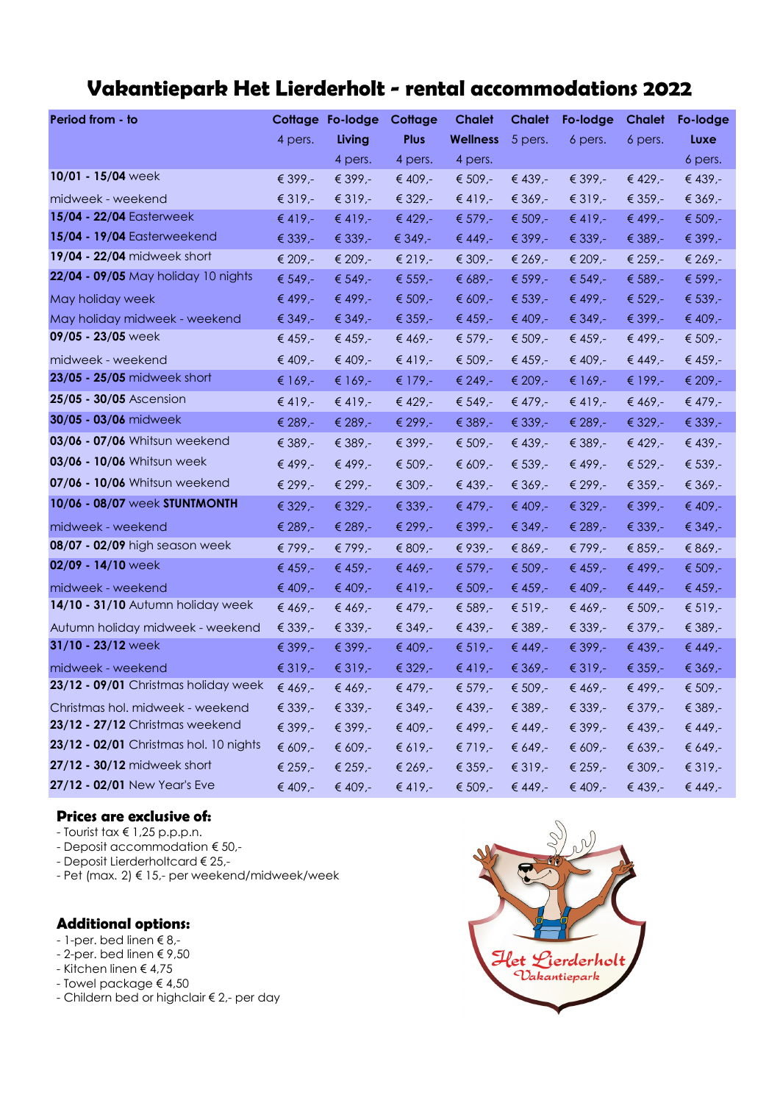# **Vakantiepark Het Lierderholt - rental accommodations 2022**

| Period from - to                       |           | Cottage Fo-lodge | Cottage   | <b>Chalet</b>   | Chalet    | Fo-lodge | <b>Chalet</b> | Fo-lodge |
|----------------------------------------|-----------|------------------|-----------|-----------------|-----------|----------|---------------|----------|
|                                        | 4 pers.   | Living           | Plus      | <b>Wellness</b> | 5 pers.   | 6 pers.  | 6 pers.       | Luxe     |
|                                        |           | 4 pers.          | 4 pers.   | 4 pers.         |           |          |               | 6 pers.  |
| 10/01 - 15/04 week                     | € 399,-   | € 399,-          | € 409,-   | € 509,-         | € 439,-   | € 399,-  | € 429,-       | € 439,-  |
| midweek - weekend                      | € 319,-   | € 319,-          | € 329,-   | $€ 419,-$       | € 369,-   | € 319,-  | € 359,-       | € 369,-  |
| 15/04 - 22/04 Easterweek               | € 419,-   | $€ 419,-$        | € 429,-   | € 579,-         | € 509,-   | € 419,-  | $€ 499,-$     | € 509,-  |
| 15/04 - 19/04 Easterweekend            | € 339,-   | € 339,-          | € 349,-   | € 449,-         | € 399,-   | € 339,-  | € 389,-       | € 399,-  |
| 19/04 - 22/04 midweek short            | € 209,-   | € 209,-          | € 219,-   | € 309,-         | € 269,-   | € 209,-  | € 259,-       | € 269,-  |
| 22/04 - 09/05 May holiday 10 nights    | € 549,-   | € 549,-          | € 559,-   | € 689,-         | € 599,-   | € 549,-  | € 589,-       | € 599,-  |
| May holiday week                       | € 499,-   | € 499,-          | € 509,-   | € 609,-         | € 539,-   | € 499,-  | € 529,-       | € 539,-  |
| May holiday midweek - weekend          | € 349,-   | € 349,-          | € 359,-   | € 459,-         | € 409,-   | € 349,-  | € 399,-       | € 409,-  |
| 09/05 - 23/05 week                     | € 459,-   | € 459,-          | € 469,-   | € 579,-         | € $509 -$ | € 459,-  | € 499,-       | € $509.$ |
| midweek - weekend                      | € 409,-   | € 409,-          | € 419,-   | € $509,-$       | € 459,-   | € 409,-  | € 449,-       | € 459,-  |
| 23/05 - 25/05 midweek short            | € 169,-   | € $169 -$        | € 179,-   | € 249,-         | € 209,-   | € 169,-  | € 199,-       | € 209,-  |
| 25/05 - 30/05 Ascension                | $€ 419,-$ | € 419,-          | € 429,-   | € 549,-         | $€ 479,-$ | € 419,-  | € 469,-       | € 479,-  |
| 30/05 - 03/06 midweek                  | € 289,-   | € 289,-          | € 299,-   | € 389,-         | € 339,-   | € 289,-  | € 329,-       | € 339,-  |
| 03/06 - 07/06 Whitsun weekend          | € 389,-   | € 389,-          | € 399,-   | € $509.$        | € 439,-   | € 389,-  | € 429,-       | € 439,-  |
| 03/06 - 10/06 Whitsun week             | € 499,-   | € 499,-          | € $509 -$ | € 609,-         | € 539,-   | € 499,-  | € 529,-       | € 539,-  |
| 07/06 - 10/06 Whitsun weekend          | € 299,-   | € 299,-          | € 309,-   | € 439,-         | € 369,-   | € 299,-  | € 359,-       | € 369,-  |
| 10/06 - 08/07 week STUNTMONTH          | € 329,-   | € 329,-          | € 339,-   | € 479.          | $€ 409,-$ | € 329,-  | € 399,-       | € 409,-  |
| midweek - weekend                      | € 289,-   | € 289,-          | € 299,-   | € 399,-         | € 349,-   | € 289,-  | € 339,-       | € 349,-  |
| 08/07 - 02/09 high season week         | € 799,-   | € 799,-          | € 809,-   | € 939,-         | € 869,-   | € 799,-  | € 859,-       | € 869,-  |
| $02/09 - 14/10$ week                   | € 459,-   | € 459,-          | € 469,-   | € 579,-         | € 509,-   | € 459,-  | € 499,-       | € 509,-  |
| midweek - weekend                      | € 409,-   | € 409,-          | € 419,-   | € $509 -$       | € 459,-   | € 409,-  | € 449,-       | € 459,-  |
| 14/10 - 31/10 Autumn holiday week      | € 469,-   | € 469,-          | € 479,-   | € 589,-         | € 519,-   | € 469,-  | € $509 -$     | € 519,-  |
| Autumn holiday midweek - weekend       | € 339,-   | € 339,-          | € 349,-   | € 439,-         | € 389,-   | € 339,-  | € 379,-       | € 389,-  |
| $31/10 - 23/12$ week                   | € 399,-   | € 399,-          | € 409,-   | € 519,-         | $€ 449,-$ | € 399,-  | € 439,-       | € 449,-  |
| midweek - weekend                      | € 319,-   | € 319,-          | € 329,-   | € 419,-         | € 369,-   | € 319,-  | € 359,-       | € 369,-  |
| 23/12 - 09/01 Christmas holiday week   | € 469,-   | € 469,-          | € 479,-   | € 579,-         | € $509,-$ | € 469,-  | $€ 499,-$     | € 509,-  |
| Christmas hol. midweek - weekend       | € 339,-   | € 339,-          | € 349,-   | € 439,-         | € 389,-   | € 339,-  | € 379,-       | € 389,-  |
| 23/12 - 27/12 Christmas weekend        | € 399,-   | € 399,-          | € 409,-   | € 499,-         | $€ 449,-$ | € 399,-  | € 439,-       | € 449,-  |
| 23/12 - 02/01 Christmas hol. 10 nights | € 609,-   | € 609,-          | € 619,-   | € 719,-         | € 649,-   | € 609,-  | € 639,-       | € 649,-  |
| 27/12 - 30/12 midweek short            | € 259,-   | € 259,-          | € 269,-   | € 359,-         | € 319,-   | € 259,-  | € 309,-       | € 319,-  |
| 27/12 - 02/01 New Year's Eve           | € 409,-   | € 409,-          | € 419,-   | € 509,-         | € 449,-   | € 409,-  | € 439,-       | € 449,-  |

## **Prices are exclusive of:**

- Tourist tax € 1,25 p.p.p.n.
- Deposit accommodation € 50,-
- Deposit Lierderholtcard € 25,-
- Pet (max. 2) € 15,- per weekend/midweek/week

#### **Additional options:**

- $-$  1-per. bed linen  $\epsilon$  8,-
- $-$  2-per. bed linen  $\leq 9,50$
- Kitchen linen € 4,75
- Towel package € 4,50
- Childern bed or highclair € 2,- per day